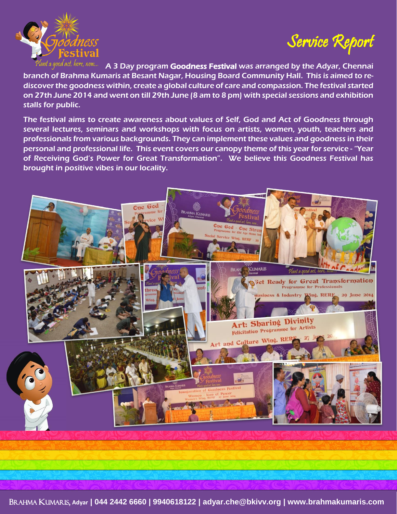

Service Report

A 3 Day program Goodness Festival was arranged by the Adyar, Chennai branch of Brahma Kumaris at Besant Nagar, Housing Board Community Hall. This is aimed to rediscover the goodness within, create a global culture of care and compassion. The festival started on 27th June 2014 and went on till 29th June (8 am to 8 pm) with special sessions and exhibition stalls for public.

The festival aims to create awareness about values of Self, God and Act of Goodness through several lectures, seminars and workshops with focus on artists, women, youth, teachers and professionals from various backgrounds. They can implement these values and goodness in their personal and professional life. This event covers our canopy theme of this year for service - "Year of Receiving God's Power for Great Transformation". We believe this Goodness Festival has brought in positive vibes in our locality.



BRAHMA KUMARIS, **Adyar | 044 2442 6660 | 9940618122 | adyar.che@bkivv.org | www.brahmakumaris.com**